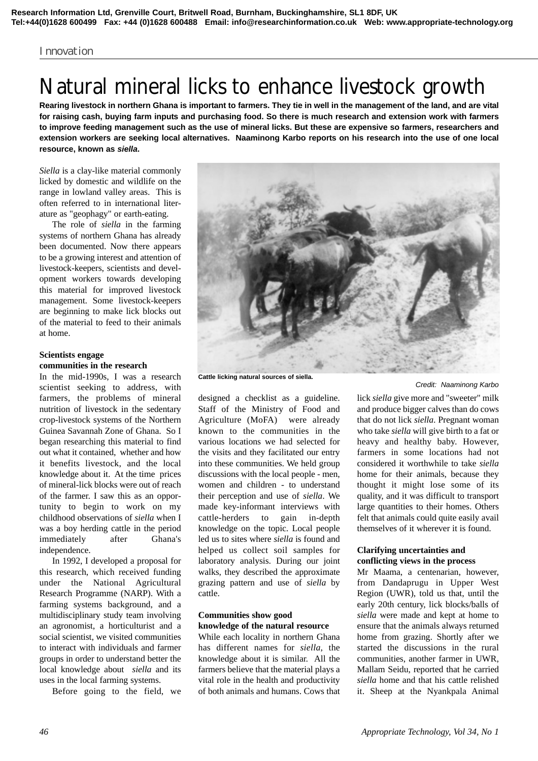#### Innovation

# Natural mineral licks to enhance livestock growth

**Rearing livestock in northern Ghana is important to farmers. They tie in well in the management of the land, and are vital for raising cash, buying farm inputs and purchasing food. So there is much research and extension work with farmers to improve feeding management such as the use of mineral licks. But these are expensive so farmers, researchers and extension workers are seeking local alternatives. Naaminong Karbo reports on his research into the use of one local resource, known as** *siella***.**

*Siella* is a clay-like material commonly licked by domestic and wildlife on the range in lowland valley areas. This is often referred to in international literature as "geophagy" or earth-eating.

The role of *siella* in the farming systems of northern Ghana has already been documented. Now there appears to be a growing interest and attention of livestock-keepers, scientists and development workers towards developing this material for improved livestock management. Some livestock-keepers are beginning to make lick blocks out of the material to feed to their animals at home.

## **Scientists engage communities in the research**

In the mid-1990s, I was a research scientist seeking to address, with farmers, the problems of mineral nutrition of livestock in the sedentary crop-livestock systems of the Northern Guinea Savannah Zone of Ghana. So I began researching this material to find out what it contained, whether and how it benefits livestock, and the local knowledge about it. At the time prices of mineral-lick blocks were out of reach of the farmer. I saw this as an opportunity to begin to work on my childhood observations of *siella* when I was a boy herding cattle in the period immediately after Ghana's independence.

In 1992, I developed a proposal for this research, which received funding under the National Agricultural Research Programme (NARP). With a farming systems background, and a multidisciplinary study team involving an agronomist, a horticulturist and a social scientist, we visited communities to interact with individuals and farmer groups in order to understand better the local knowledge about *siella* and its uses in the local farming systems.

Before going to the field, we

**Cattle licking natural sources of siella.**

designed a checklist as a guideline. Staff of the Ministry of Food and Agriculture (MoFA) were already known to the communities in the various locations we had selected for the visits and they facilitated our entry into these communities. We held group discussions with the local people - men, women and children - to understand their perception and use of *siella*. We made key-informant interviews with cattle-herders to gain in-depth knowledge on the topic. Local people led us to sites where *siella* is found and helped us collect soil samples for laboratory analysis. During our joint walks, they described the approximate grazing pattern and use of *siella* by cattle.

## **Communities show good knowledge of the natural resource**

While each locality in northern Ghana has different names for *siella*, the knowledge about it is similar. All the farmers believe that the material plays a vital role in the health and productivity of both animals and humans. Cows that

*Credit: Naaminong Karbo*

lick *siella* give more and "sweeter" milk and produce bigger calves than do cows that do not lick *siella*. Pregnant woman who take *siella* will give birth to a fat or heavy and healthy baby. However, farmers in some locations had not considered it worthwhile to take *siella* home for their animals, because they thought it might lose some of its quality, and it was difficult to transport large quantities to their homes. Others felt that animals could quite easily avail themselves of it wherever it is found.

#### **Clarifying uncertainties and conflicting views in the process**

Mr Maama, a centenarian, however, from Dandaprugu in Upper West Region (UWR), told us that, until the early 20th century, lick blocks/balls of *siella* were made and kept at home to ensure that the animals always returned home from grazing. Shortly after we started the discussions in the rural communities, another farmer in UWR, Mallam Seidu, reported that he carried *siella* home and that his cattle relished it. Sheep at the Nyankpala Animal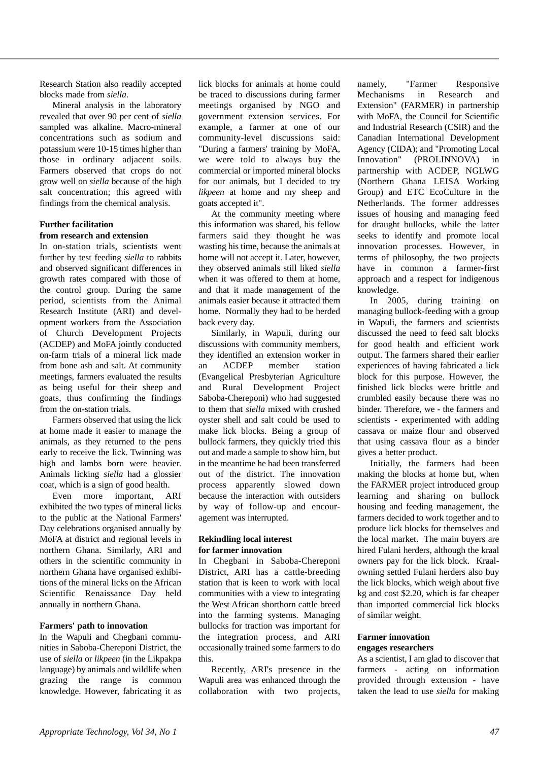Research Station also readily accepted blocks made from *siella*.

Mineral analysis in the laboratory revealed that over 90 per cent of *siella* sampled was alkaline. Macro-mineral concentrations such as sodium and potassium were 10-15 times higher than those in ordinary adjacent soils. Farmers observed that crops do not grow well on *siella* because of the high salt concentration; this agreed with findings from the chemical analysis.

## **Further facilitation from research and extension**

In on-station trials, scientists went further by test feeding *siella* to rabbits and observed significant differences in growth rates compared with those of the control group. During the same period, scientists from the Animal Research Institute (ARI) and development workers from the Association of Church Development Projects (ACDEP) and MoFA jointly conducted on-farm trials of a mineral lick made from bone ash and salt. At community meetings, farmers evaluated the results as being useful for their sheep and goats, thus confirming the findings from the on-station trials.

Farmers observed that using the lick at home made it easier to manage the animals, as they returned to the pens early to receive the lick. Twinning was high and lambs born were heavier. Animals licking *siella* had a glossier coat, which is a sign of good health.

Even more important, ARI exhibited the two types of mineral licks to the public at the National Farmers' Day celebrations organised annually by MoFA at district and regional levels in northern Ghana. Similarly, ARI and others in the scientific community in northern Ghana have organised exhibitions of the mineral licks on the African Scientific Renaissance Day held annually in northern Ghana.

## **Farmers' path to innovation**

In the Wapuli and Chegbani communities in Saboba-Chereponi District, the use of *siella* or *likpeen* (in the Likpakpa language) by animals and wildlife when grazing the range is common knowledge. However, fabricating it as

lick blocks for animals at home could be traced to discussions during farmer meetings organised by NGO and government extension services. For example, a farmer at one of our community-level discussions said: "During a farmers' training by MoFA, we were told to always buy the commercial or imported mineral blocks for our animals, but I decided to try *likpeen* at home and my sheep and goats accepted it".

At the community meeting where this information was shared, his fellow farmers said they thought he was wasting his time, because the animals at home will not accept it. Later, however, they observed animals still liked *siella* when it was offered to them at home, and that it made management of the animals easier because it attracted them home. Normally they had to be herded back every day.

Similarly, in Wapuli, during our discussions with community members, they identified an extension worker in an ACDEP member station (Evangelical Presbyterian Agriculture and Rural Development Project Saboba-Chereponi) who had suggested to them that *siella* mixed with crushed oyster shell and salt could be used to make lick blocks. Being a group of bullock farmers, they quickly tried this out and made a sample to show him, but in the meantime he had been transferred out of the district. The innovation process apparently slowed down because the interaction with outsiders by way of follow-up and encouragement was interrupted.

## **Rekindling local interest for farmer innovation**

In Chegbani in Saboba-Chereponi District, ARI has a cattle-breeding station that is keen to work with local communities with a view to integrating the West African shorthorn cattle breed into the farming systems. Managing bullocks for traction was important for the integration process, and ARI occasionally trained some farmers to do this.

Recently, ARI's presence in the Wapuli area was enhanced through the collaboration with two projects,

namely, "Farmer Responsive Mechanisms in Research and Extension" (FARMER) in partnership with MoFA, the Council for Scientific and Industrial Research (CSIR) and the Canadian International Development Agency (CIDA); and "Promoting Local Innovation" (PROLINNOVA) in partnership with ACDEP, NGLWG (Northern Ghana LEISA Working Group) and ETC EcoCulture in the Netherlands. The former addresses issues of housing and managing feed for draught bullocks, while the latter seeks to identify and promote local innovation processes. However, in terms of philosophy, the two projects have in common a farmer-first approach and a respect for indigenous knowledge.

In 2005, during training on managing bullock-feeding with a group in Wapuli, the farmers and scientists discussed the need to feed salt blocks for good health and efficient work output. The farmers shared their earlier experiences of having fabricated a lick block for this purpose. However, the finished lick blocks were brittle and crumbled easily because there was no binder. Therefore, we - the farmers and scientists - experimented with adding cassava or maize flour and observed that using cassava flour as a binder gives a better product.

Initially, the farmers had been making the blocks at home but, when the FARMER project introduced group learning and sharing on bullock housing and feeding management, the farmers decided to work together and to produce lick blocks for themselves and the local market. The main buyers are hired Fulani herders, although the kraal owners pay for the lick block. Kraalowning settled Fulani herders also buy the lick blocks, which weigh about five kg and cost \$2.20, which is far cheaper than imported commercial lick blocks of similar weight.

#### **Farmer innovation engages researchers**

As a scientist, I am glad to discover that farmers - acting on information provided through extension - have taken the lead to use *siella* for making